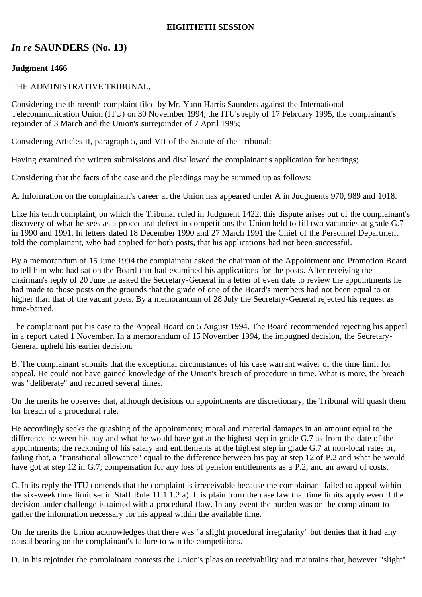## **EIGHTIETH SESSION**

# *In re* **SAUNDERS (No. 13)**

### **Judgment 1466**

#### THE ADMINISTRATIVE TRIBUNAL,

Considering the thirteenth complaint filed by Mr. Yann Harris Saunders against the International Telecommunication Union (ITU) on 30 November 1994, the ITU's reply of 17 February 1995, the complainant's rejoinder of 3 March and the Union's surrejoinder of 7 April 1995;

Considering Articles II, paragraph 5, and VII of the Statute of the Tribunal;

Having examined the written submissions and disallowed the complainant's application for hearings;

Considering that the facts of the case and the pleadings may be summed up as follows:

A. Information on the complainant's career at the Union has appeared under A in Judgments 970, 989 and 1018.

Like his tenth complaint, on which the Tribunal ruled in Judgment 1422, this dispute arises out of the complainant's discovery of what he sees as a procedural defect in competitions the Union held to fill two vacancies at grade G.7 in 1990 and 1991. In letters dated 18 December 1990 and 27 March 1991 the Chief of the Personnel Department told the complainant, who had applied for both posts, that his applications had not been successful.

By a memorandum of 15 June 1994 the complainant asked the chairman of the Appointment and Promotion Board to tell him who had sat on the Board that had examined his applications for the posts. After receiving the chairman's reply of 20 June he asked the Secretary-General in a letter of even date to review the appointments he had made to those posts on the grounds that the grade of one of the Board's members had not been equal to or higher than that of the vacant posts. By a memorandum of 28 July the Secretary-General rejected his request as time-barred.

The complainant put his case to the Appeal Board on 5 August 1994. The Board recommended rejecting his appeal in a report dated 1 November. In a memorandum of 15 November 1994, the impugned decision, the Secretary-General upheld his earlier decision.

B. The complainant submits that the exceptional circumstances of his case warrant waiver of the time limit for appeal. He could not have gained knowledge of the Union's breach of procedure in time. What is more, the breach was "deliberate" and recurred several times.

On the merits he observes that, although decisions on appointments are discretionary, the Tribunal will quash them for breach of a procedural rule.

He accordingly seeks the quashing of the appointments; moral and material damages in an amount equal to the difference between his pay and what he would have got at the highest step in grade G.7 as from the date of the appointments; the reckoning of his salary and entitlements at the highest step in grade G.7 at non-local rates or, failing that, a "transitional allowance" equal to the difference between his pay at step 12 of P.2 and what he would have got at step 12 in G.7; compensation for any loss of pension entitlements as a P.2; and an award of costs.

C. In its reply the ITU contends that the complaint is irreceivable because the complainant failed to appeal within the six-week time limit set in Staff Rule 11.1.1.2 a). It is plain from the case law that time limits apply even if the decision under challenge is tainted with a procedural flaw. In any event the burden was on the complainant to gather the information necessary for his appeal within the available time.

On the merits the Union acknowledges that there was "a slight procedural irregularity" but denies that it had any causal bearing on the complainant's failure to win the competitions.

D. In his rejoinder the complainant contests the Union's pleas on receivability and maintains that, however "slight"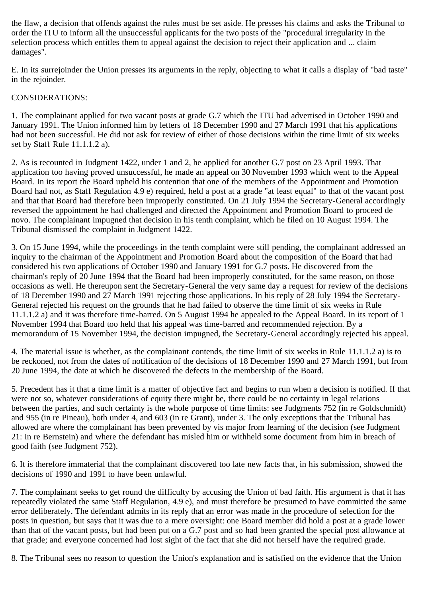the flaw, a decision that offends against the rules must be set aside. He presses his claims and asks the Tribunal to order the ITU to inform all the unsuccessful applicants for the two posts of the "procedural irregularity in the selection process which entitles them to appeal against the decision to reject their application and ... claim damages".

E. In its surrejoinder the Union presses its arguments in the reply, objecting to what it calls a display of "bad taste" in the rejoinder.

## CONSIDERATIONS:

1. The complainant applied for two vacant posts at grade G.7 which the ITU had advertised in October 1990 and January 1991. The Union informed him by letters of 18 December 1990 and 27 March 1991 that his applications had not been successful. He did not ask for review of either of those decisions within the time limit of six weeks set by Staff Rule 11.1.1.2 a).

2. As is recounted in Judgment 1422, under 1 and 2, he applied for another G.7 post on 23 April 1993. That application too having proved unsuccessful, he made an appeal on 30 November 1993 which went to the Appeal Board. In its report the Board upheld his contention that one of the members of the Appointment and Promotion Board had not, as Staff Regulation 4.9 e) required, held a post at a grade "at least equal" to that of the vacant post and that that Board had therefore been improperly constituted. On 21 July 1994 the Secretary-General accordingly reversed the appointment he had challenged and directed the Appointment and Promotion Board to proceed de novo. The complainant impugned that decision in his tenth complaint, which he filed on 10 August 1994. The Tribunal dismissed the complaint in Judgment 1422.

3. On 15 June 1994, while the proceedings in the tenth complaint were still pending, the complainant addressed an inquiry to the chairman of the Appointment and Promotion Board about the composition of the Board that had considered his two applications of October 1990 and January 1991 for G.7 posts. He discovered from the chairman's reply of 20 June 1994 that the Board had been improperly constituted, for the same reason, on those occasions as well. He thereupon sent the Secretary-General the very same day a request for review of the decisions of 18 December 1990 and 27 March 1991 rejecting those applications. In his reply of 28 July 1994 the Secretary-General rejected his request on the grounds that he had failed to observe the time limit of six weeks in Rule 11.1.1.2 a) and it was therefore time-barred. On 5 August 1994 he appealed to the Appeal Board. In its report of 1 November 1994 that Board too held that his appeal was time-barred and recommended rejection. By a memorandum of 15 November 1994, the decision impugned, the Secretary-General accordingly rejected his appeal.

4. The material issue is whether, as the complainant contends, the time limit of six weeks in Rule 11.1.1.2 a) is to be reckoned, not from the dates of notification of the decisions of 18 December 1990 and 27 March 1991, but from 20 June 1994, the date at which he discovered the defects in the membership of the Board.

5. Precedent has it that a time limit is a matter of objective fact and begins to run when a decision is notified. If that were not so, whatever considerations of equity there might be, there could be no certainty in legal relations between the parties, and such certainty is the whole purpose of time limits: see Judgments 752 (in re Goldschmidt) and 955 (in re Pineau), both under 4, and 603 (in re Grant), under 3. The only exceptions that the Tribunal has allowed are where the complainant has been prevented by vis major from learning of the decision (see Judgment 21: in re Bernstein) and where the defendant has misled him or withheld some document from him in breach of good faith (see Judgment 752).

6. It is therefore immaterial that the complainant discovered too late new facts that, in his submission, showed the decisions of 1990 and 1991 to have been unlawful.

7. The complainant seeks to get round the difficulty by accusing the Union of bad faith. His argument is that it has repeatedly violated the same Staff Regulation, 4.9 e), and must therefore be presumed to have committed the same error deliberately. The defendant admits in its reply that an error was made in the procedure of selection for the posts in question, but says that it was due to a mere oversight: one Board member did hold a post at a grade lower than that of the vacant posts, but had been put on a G.7 post and so had been granted the special post allowance at that grade; and everyone concerned had lost sight of the fact that she did not herself have the required grade.

8. The Tribunal sees no reason to question the Union's explanation and is satisfied on the evidence that the Union